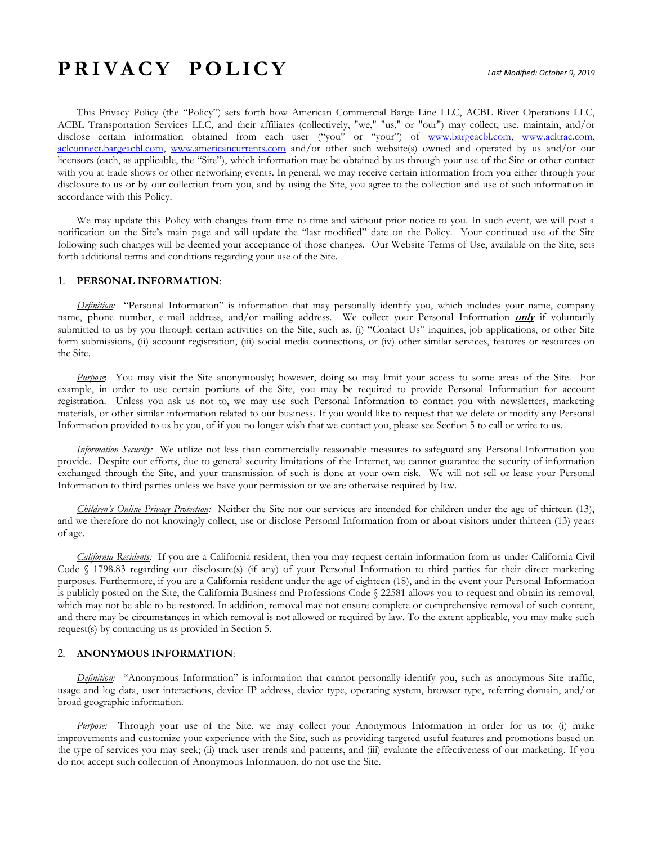# **P R I V A C Y P O L I C Y** *Last Modified: October 9, 2019*

This Privacy Policy (the "Policy") sets forth how American Commercial Barge Line LLC, ACBL River Operations LLC, ACBL Transportation Services LLC, and their affiliates (collectively, "we," "us," or "our") may collect, use, maintain, and/or disclose certain information obtained from each user ("you" or "your") of [www.bargeacbl.com,](http://www.bargeacbl.com/) [www.acltrac.com,](http://www.acltrac.com/) [aclconnect.bargeacbl.com,](http://aclconnect.bargeacbl.com/) [www.americancurrents.com](file:///C:/Users/raainswo/Desktop/www.americancurrents.com) and/or other such website(s) owned and operated by us and/or our licensors (each, as applicable, the "Site"), which information may be obtained by us through your use of the Site or other contact with you at trade shows or other networking events. In general, we may receive certain information from you either through your disclosure to us or by our collection from you, and by using the Site, you agree to the collection and use of such information in accordance with this Policy.

We may update this Policy with changes from time to time and without prior notice to you. In such event, we will post a notification on the Site's main page and will update the "last modified" date on the Policy. Your continued use of the Site following such changes will be deemed your acceptance of those changes. Our Website Terms of Use, available on the Site, sets forth additional terms and conditions regarding your use of the Site.

#### 1. **PERSONAL INFORMATION**:

*Definition:* "Personal Information" is information that may personally identify you, which includes your name, company name, phone number, e-mail address, and/or mailing address. We collect your Personal Information **only** if voluntarily submitted to us by you through certain activities on the Site, such as, (i) "Contact Us" inquiries, job applications, or other Site form submissions, (ii) account registration, (iii) social media connections, or (iv) other similar services, features or resources on the Site.

*Purpose*: You may visit the Site anonymously; however, doing so may limit your access to some areas of the Site. For example, in order to use certain portions of the Site, you may be required to provide Personal Information for account registration. Unless you ask us not to, we may use such Personal Information to contact you with newsletters, marketing materials, or other similar information related to our business. If you would like to request that we delete or modify any Personal Information provided to us by you, of if you no longer wish that we contact you, please see Section 5 to call or write to us.

*Information Security:* We utilize not less than commercially reasonable measures to safeguard any Personal Information you provide. Despite our efforts, due to general security limitations of the Internet, we cannot guarantee the security of information exchanged through the Site, and your transmission of such is done at your own risk. We will not sell or lease your Personal Information to third parties unless we have your permission or we are otherwise required by law.

*Children's Online Privacy Protection:* Neither the Site nor our services are intended for children under the age of thirteen (13), and we therefore do not knowingly collect, use or disclose Personal Information from or about visitors under thirteen (13) years of age.

*California Residents:* If you are a California resident, then you may request certain information from us under California Civil Code § 1798.83 regarding our disclosure(s) (if any) of your Personal Information to third parties for their direct marketing purposes. Furthermore, if you are a California resident under the age of eighteen (18), and in the event your Personal Information is publicly posted on the Site, the California Business and Professions Code § 22581 allows you to request and obtain its removal, which may not be able to be restored. In addition, removal may not ensure complete or comprehensive removal of such content, and there may be circumstances in which removal is not allowed or required by law. To the extent applicable, you may make such request(s) by contacting us as provided in Section 5.

## 2. **ANONYMOUS INFORMATION**:

*Definition:* "Anonymous Information" is information that cannot personally identify you, such as anonymous Site traffic, usage and log data, user interactions, device IP address, device type, operating system, browser type, referring domain, and/or broad geographic information.

*Purpose:* Through your use of the Site, we may collect your Anonymous Information in order for us to: (i) make improvements and customize your experience with the Site, such as providing targeted useful features and promotions based on the type of services you may seek; (ii) track user trends and patterns, and (iii) evaluate the effectiveness of our marketing. If you do not accept such collection of Anonymous Information, do not use the Site.